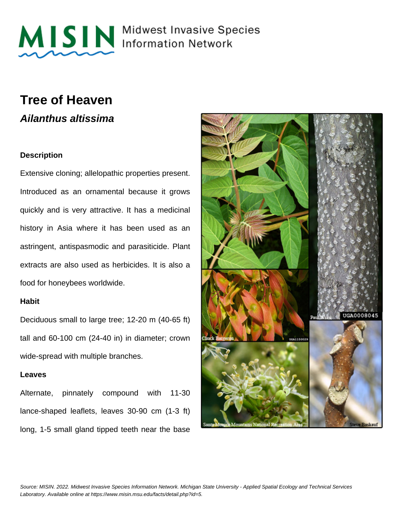

MISIN Midwest Invasive Species

### **Tree of Heaven Ailanthus altissima**

#### **Description**

Extensive cloning; allelopathic properties present. Introduced as an ornamental because it grows quickly and is very attractive. It has a medicinal history in Asia where it has been used as an astringent, antispasmodic and parasiticide. Plant extracts are also used as herbicides. It is also a food for honeybees worldwide.

#### **Habit**

Deciduous small to large tree; 12-20 m (40-65 ft) tall and 60-100 cm (24-40 in) in diameter; crown wide-spread with multiple branches.

#### **Leaves**

Alternate, pinnately compound with 11-30 lance-shaped leaflets, leaves 30-90 cm (1-3 ft) long, 1-5 small gland tipped teeth near the base

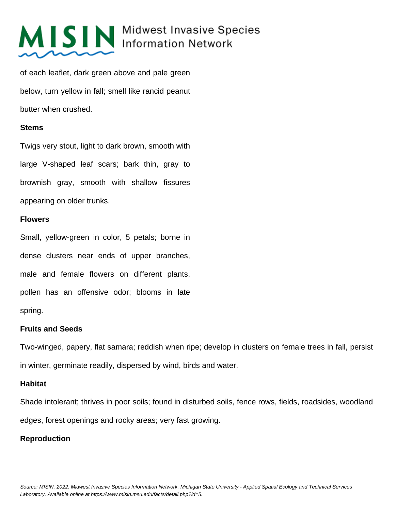# MISIN Midwest Invasive Species

of each leaflet, dark green above and pale green below, turn yellow in fall; smell like rancid peanut butter when crushed.

#### **Stems**

Twigs very stout, light to dark brown, smooth with large V-shaped leaf scars; bark thin, gray to brownish gray, smooth with shallow fissures appearing on older trunks.

#### **Flowers**

Small, yellow-green in color, 5 petals; borne in dense clusters near ends of upper branches, male and female flowers on different plants, pollen has an offensive odor; blooms in late spring.

#### **Fruits and Seeds**

Two-winged, papery, flat samara; reddish when ripe; develop in clusters on female trees in fall, persist in winter, germinate readily, dispersed by wind, birds and water.

#### **Habitat**

Shade intolerant; thrives in poor soils; found in disturbed soils, fence rows, fields, roadsides, woodland edges, forest openings and rocky areas; very fast growing.

#### **Reproduction**